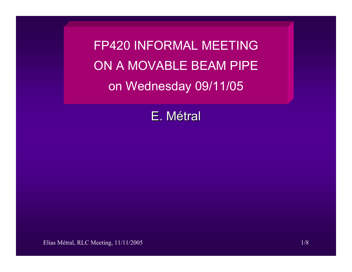FP420 INFORMAL MEETINGON A MOVABLE BEAM PIPEon Wednesday 09/11/05

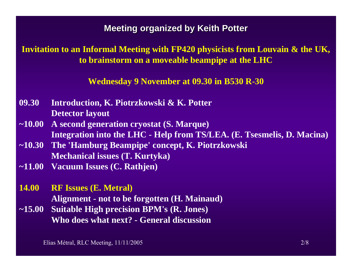#### **Meeting organized by Keith Potter**

### **Invitation to an Informal Meeting with FP420 physicists from Louvain & the UK, to brainstorm on a moveable beampipe at the LHC**

**Wednesday 9 November at 09.30 in B530 R-30**

- **09.30 Introduction, K. Piotrzkowski & K. Potter Detector layout**
- **~10.00 A second generation cryostat (S. Marque) Integration into the LHC - Help from TS/LEA. (E. Tsesmelis, D. Macina)**
- **~10.30 The 'Hamburg Beampipe' concept, K. Piotrzkowski Mechanical issues (T. Kurtyka)**
- **~11.00 Vacuum Issues (C. Rathjen)**
- **14.00 RF Issues (E. Metral) Alignment - not to be forgotten (H. Mainaud)**
- **~15.00 Suitable High precision BPM's (R. Jones) Who does what next? - General discussion**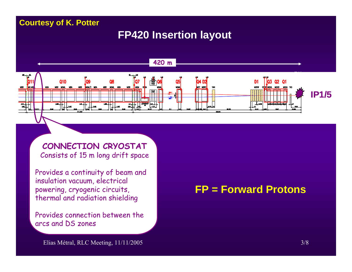#### **Courtesy of K. Potter**

### **FP420 Insertion layout**



**CONNECTION CRYOSTAT** Consists of 15 m long drift space

Provides a continuity of beam and insulation vacuum, electrical powering, cryogenic circuits, thermal and radiation shielding

Provides connection between the arcs and DS zones

## **FP = Forward Protons**

Elias Métral, RLC Meeting, 11/11/2005 3/8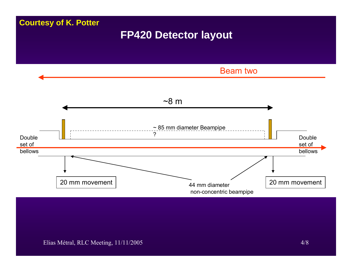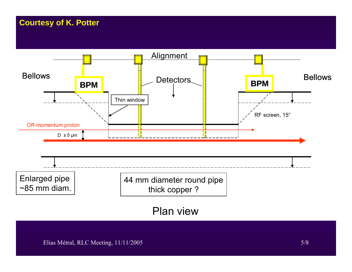### **Courtesy of K. Potter**

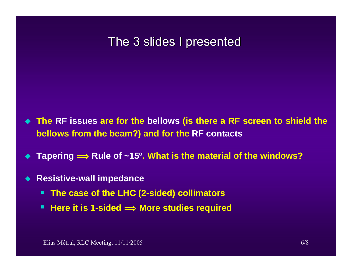# The 3 slides I presented

- **The RF issues are for the bellows (is there a RF screen to shield the bellows from the beam?) and for the RF contacts**
- $\blacklozenge$ ◆ Tapering  $\implies$  Rule of ~15º. What is the material of the windows?
- $\blacklozenge$  **Resistive-wall impedance**
	- **The case of the LHC (2-sided) collimators**
	- Here it is 1-sided <u>→ More studies required</u>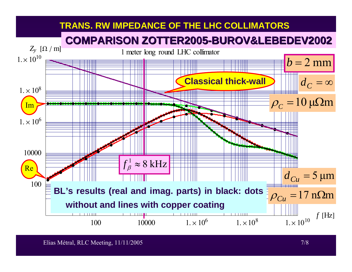